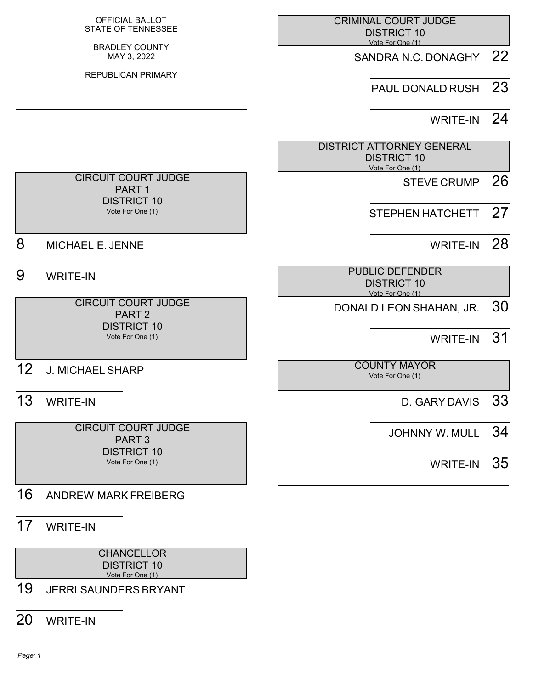- SANDRA N.C. DONAGHY 22
	- PAUL DONALD RUSH 23
		- WRITE-IN 24

 DISTRICT ATTORNEY GENERAL DISTRICT 10 Vote For One (1)

- STEVE CRUMP<sub>26</sub>
- STEPHEN HATCHETT 27

WRITE-IN 28

 PUBLIC DEFENDER DISTRICT 10 Vote For One (1)

- DONALD LEON SHAHAN, JR. 30
	- WRITE-IN 31

 COUNTY MAYOR Vote For One (1)

- D. GARY DAVIS 33
- JOHNNY W. MULL 34
	- WRITE-IN 35

#### OFFICIAL BALLOT STATE OF TENNESSEE

BRADLEY COUNTY MAY 3, 2022

REPUBLICAN PRIMARY

#### CIRCUIT COURT JUDGE PART 1 DISTRICT 10 Vote For One (1)

8 MICHAEL E. JENNE

## 9 WRITE-IN

 CIRCUIT COURT JUDGE PART 2 DISTRICT 10 Vote For One (1)

## 12 J. MICHAEL SHARP

## 13 WRITE-IN

 CIRCUIT COURT JUDGE PART 3 DISTRICT 10 Vote For One (1)

## 16 ANDREW MARK FREIBERG

17 WRITE-IN

**CHANCELLOR**  DISTRICT 10 Vote For One (1)

## 19 JERRI SAUNDERS BRYANT

20 WRITE-IN

 *Page: 1*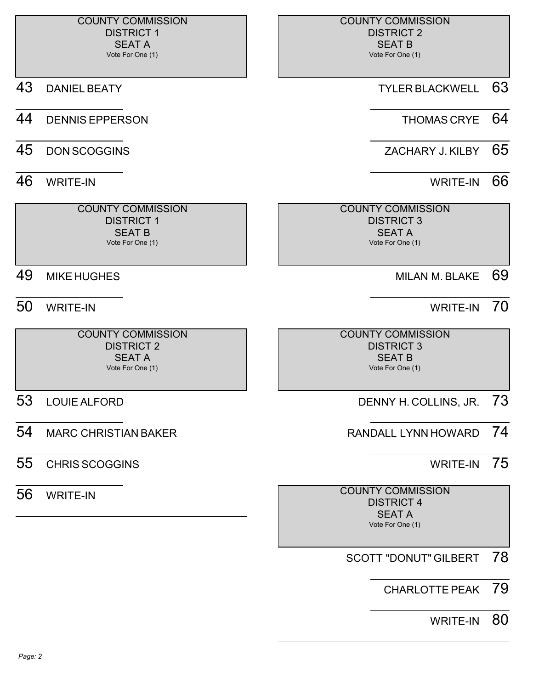|    | <b>COUNTY COMMISSION</b><br><b>DISTRICT 1</b><br><b>SEAT A</b><br>Vote For One (1) | <b>COUNTY COMMISSION</b><br><b>DISTRICT 2</b><br><b>SEAT B</b><br>Vote For One (1) |    |
|----|------------------------------------------------------------------------------------|------------------------------------------------------------------------------------|----|
| 43 | <b>DANIEL BEATY</b>                                                                | <b>TYLER BLACKWELL</b>                                                             | 63 |
| 44 | <b>DENNIS EPPERSON</b>                                                             | <b>THOMAS CRYE</b>                                                                 | 64 |
| 45 | <b>DON SCOGGINS</b>                                                                | <b>ZACHARY J. KILBY</b>                                                            | 65 |
| 46 | <b>WRITE-IN</b>                                                                    | <b>WRITE-IN</b>                                                                    | 66 |
|    | <b>COUNTY COMMISSION</b><br><b>DISTRICT 1</b><br><b>SEAT B</b><br>Vote For One (1) | <b>COUNTY COMMISSION</b><br><b>DISTRICT 3</b><br><b>SEAT A</b><br>Vote For One (1) |    |
| 49 | <b>MIKE HUGHES</b>                                                                 | <b>MILAN M. BLAKE</b>                                                              | 69 |
| 50 | <b>WRITE-IN</b>                                                                    | <b>WRITE-IN</b>                                                                    | 70 |
|    | <b>COUNTY COMMISSION</b><br><b>DISTRICT 2</b><br><b>SEAT A</b><br>Vote For One (1) | <b>COUNTY COMMISSION</b><br><b>DISTRICT 3</b><br><b>SEAT B</b><br>Vote For One (1) |    |
| 53 | <b>LOUIE ALFORD</b>                                                                | DENNY H. COLLINS, JR.                                                              | 73 |
| 54 | <b>MARC CHRISTIAN BAKER</b>                                                        | <b>RANDALL LYNN HOWARD</b>                                                         | 74 |
| 55 | <b>CHRIS SCOGGINS</b>                                                              | <b>WRITE-IN</b>                                                                    | 75 |
| 56 | <b>WRITE-IN</b>                                                                    | <b>COUNTY COMMISSION</b><br><b>DISTRICT 4</b><br><b>SEAT A</b><br>Vote For One (1) |    |

- SCOTT "DONUT" GILBERT 78
	- CHARLOTTE PEAK 79
		- WRITE-IN 80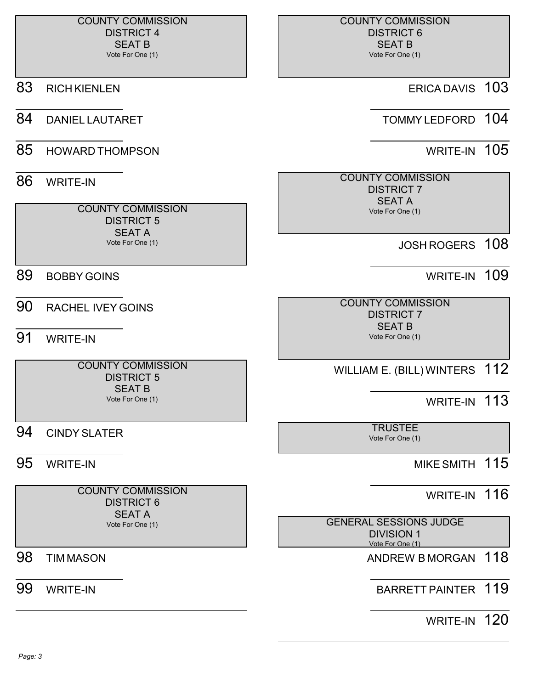#### COUNTY COMMISSION DISTRICT 4 SEAT B Vote For One (1)

#### 83 RICH KIENLEN

- 84 DANIEL LAUTARET
- 85 HOWARD THOMPSON

#### 86 WRITE-IN

 COUNTY COMMISSION DISTRICT 5 SEAT A Vote For One (1)

- 89 BOBBY GOINS
- 90 RACHEL IVEY GOINS
- 91 WRITE-IN

 COUNTY COMMISSION DISTRICT 5 SEAT B Vote For One (1)

- 94 CINDY SLATER
- 95 WRITE-IN

 COUNTY COMMISSION DISTRICT 6 SEAT A Vote For One (1)

98 TIM MASON

99 WRITE-IN

#### COUNTY COMMISSION DISTRICT 6 SEAT B

Vote For One (1)

## ERICA DAVIS 103

TOMMY LEDFORD 104

## WRITE-IN 105

 COUNTY COMMISSION DISTRICT 7 SEAT A Vote For One (1)

## JOSH ROGERS 108

## WRITE-IN 109

 COUNTY COMMISSION DISTRICT 7 SEAT B Vote For One (1)

## WILLIAM E. (BILL) WINTERS 112

## WRITE-IN 113

**TRUSTEE** Vote For One (1)

## MIKE SMITH 115

# WRITE-IN 116

 GENERAL SESSIONS JUDGE DIVISION 1 Vote For One (1)

- ANDREW B MORGAN 118
	- BARRETT PAINTER 119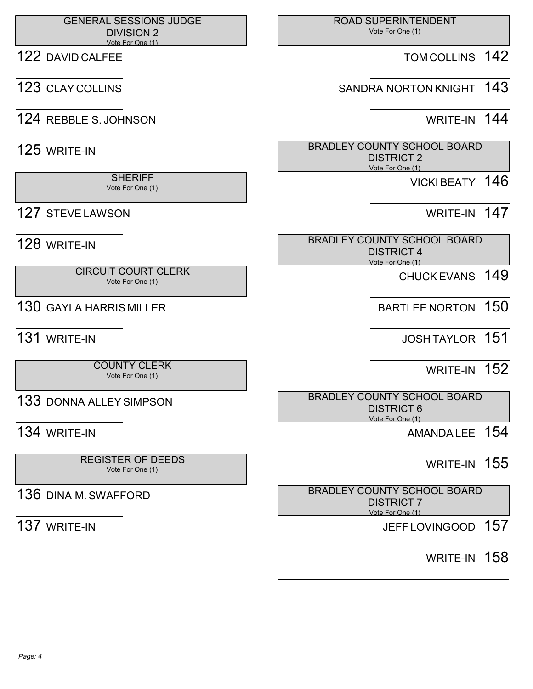## 122 DAVID CALFEE

- 123 CLAY COLLINS
- 124 REBBLE S. JOHNSON
- 125 WRITE-IN

**SHERIFF** Vote For One (1)

## 127 STEVE LAWSON

# 128 WRITE-IN

 CIRCUIT COURT CLERK Vote For One (1)

- 130 GAYLA HARRIS MILLER
- 131 WRITE-IN

 COUNTY CLERK Vote For One (1)

133 DONNA ALLEY SIMPSON

134 WRITE-IN

 REGISTER OF DEEDS Vote For One (1)

136 DINA M. SWAFFORD

137 WRITE-IN

 ROAD SUPERINTENDENT Vote For One (1)

## TOM COLLINS 142

- SANDRA NORTON KNIGHT 143
	- WRITE-IN 144

 BRADLEY COUNTY SCHOOL BOARD DISTRICT 2 Vote For One (1)

# VICKI BEATY 146

# WRITE-IN 147

 BRADLEY COUNTY SCHOOL BOARD DISTRICT 4 Vote For One (1)

- CHUCK EVANS 149
- BARTLEE NORTON 150
	- JOSH TAYLOR 151
		- WRITE-IN 152

 BRADLEY COUNTY SCHOOL BOARD DISTRICT 6 Vote For One (1)

- AMANDA LEE 154
	- WRITE-IN 155

 BRADLEY COUNTY SCHOOL BOARD DISTRICT 7 Vote For One (1)

JEFF LOVINGOOD 157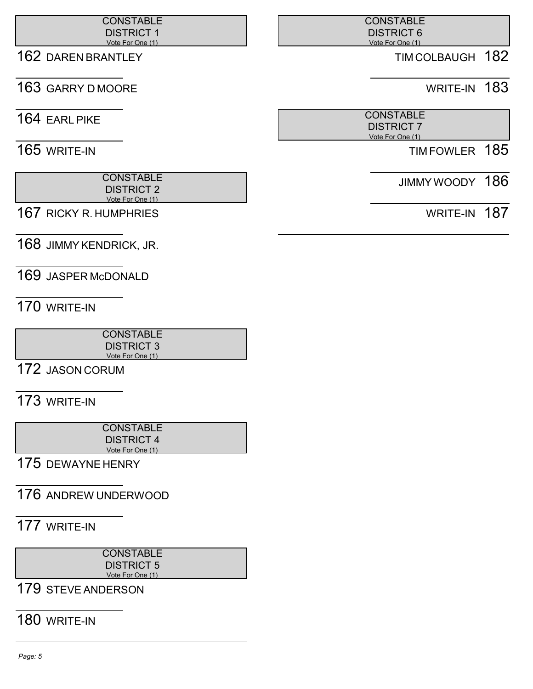| CONSTABLE         |  |  |  |
|-------------------|--|--|--|
| <b>DISTRICT 1</b> |  |  |  |
| ۱/nte For One (1) |  |  |  |

#### Vote For One (1) 162 DAREN BRANTLEY

# 163 GARRY D MOORE

164 EARL PIKE

165 WRITE-IN

 CONSTABLE DISTRICT 2

167 RICKY R. HUMPHRIES

168 JIMMY KENDRICK, JR.

169 JASPER McDONALD

170 WRITE-IN

 CONSTABLE DISTRICT 3 Vote For One (1)

172 JASON CORUM

173 WRITE-IN

**CONSTABLE**  DISTRICT 4 Vote For One (1)

175 DEWAYNE HENRY

176 ANDREW UNDERWOOD

177 WRITE-IN

**CONSTABLE**  DISTRICT 5 Vote For One (1)

179 STEVE ANDERSON

180 WRITE-IN

Vote For One (1)

#### CONSTABLE DISTRICT 6 Vote For One (1)

TIM COLBAUGH 182

WRITE-IN 183

**CONSTABLE**  DISTRICT 7 Vote For One (1)

TIM FOWLER 185

JIMMY WOODY 186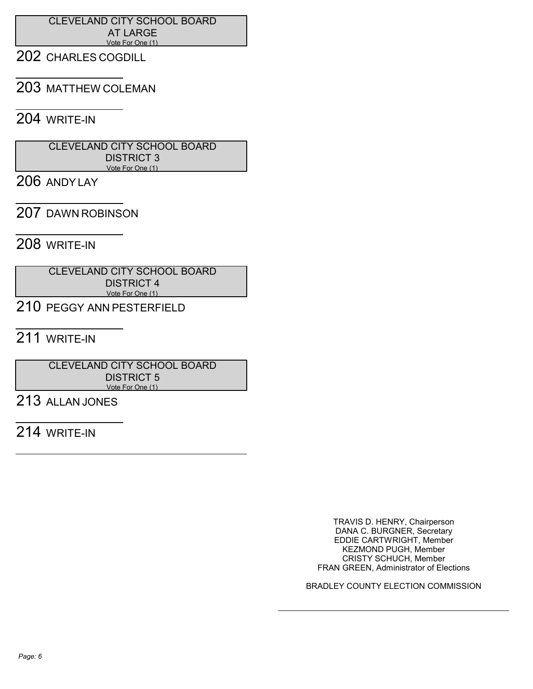CLEVELAND CITY SCHOOL BOARD AT LARGE Vote For One (1)

202 CHARLES COGDILL

203 MATTHEW COLEMAN

204 WRITE-IN

 CLEVELAND CITY SCHOOL BOARD DISTRICT 3 Vote For One (1)

206 ANDY LAY

207 DAWN ROBINSON

208 WRITE-IN

 CLEVELAND CITY SCHOOL BOARD DISTRICT 4 Vote For One (1)

210 PEGGY ANN PESTERFIELD

211 WRITE-IN

 CLEVELAND CITY SCHOOL BOARD DISTRICT 5 Vote For One (1)

213 ALLAN JONES

214 WRITE-IN

TRAVIS D. HENRY, Chairperson DANA C. BURGNER, Secretary EDDIE CARTWRIGHT, Member KEZMOND PUGH, Member CRISTY SCHUCH, Member FRAN GREEN, Administrator of Elections

BRADLEY COUNTY ELECTION COMMISSION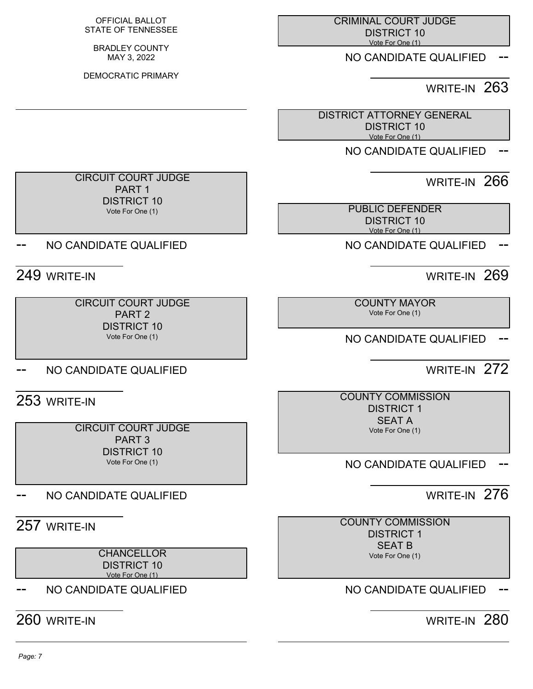OFFICIAL BALLOT STATE OF TENNESSEE

BRADLEY COUNTY MAY 3, 2022

DEMOCRATIC PRIMARY

 CRIMINAL COURT JUDGE DISTRICT 10 Vote For One (1)

NO CANDIDATE QUALIFIED

WRITE-IN 263

 DISTRICT ATTORNEY GENERAL DISTRICT 10 Vote For One (1)

NO CANDIDATE QUALIFIED

WRITE-IN 266

 PUBLIC DEFENDER DISTRICT 10 Vote For One (1)

NO CANDIDATE QUALIFIED

WRITE-IN 269

 COUNTY MAYOR Vote For One (1)

NO CANDIDATE QUALIFIED

WRITE-IN 272

 COUNTY COMMISSION DISTRICT 1 SEAT A Vote For One (1)

NO CANDIDATE QUALIFIED

WRITE-IN 276

 COUNTY COMMISSION DISTRICT 1 SEAT B Vote For One (1)

NO CANDIDATE QUALIFIED

WRITE-IN 280

 CIRCUIT COURT JUDGE PART 1 DISTRICT 10 Vote For One (1)

#### NO CANDIDATE QUALIFIED

249 WRITE-IN

 CIRCUIT COURT JUDGE PART 2 DISTRICT 10 Vote For One (1)

#### NO CANDIDATE QUALIFIED

253 WRITE-IN

 CIRCUIT COURT JUDGE PART 3 DISTRICT 10 Vote For One (1)

#### NO CANDIDATE QUALIFIED

257 WRITE-IN

**CHANCELLOR**  DISTRICT 10 Vote For One (1)

NO CANDIDATE QUALIFIED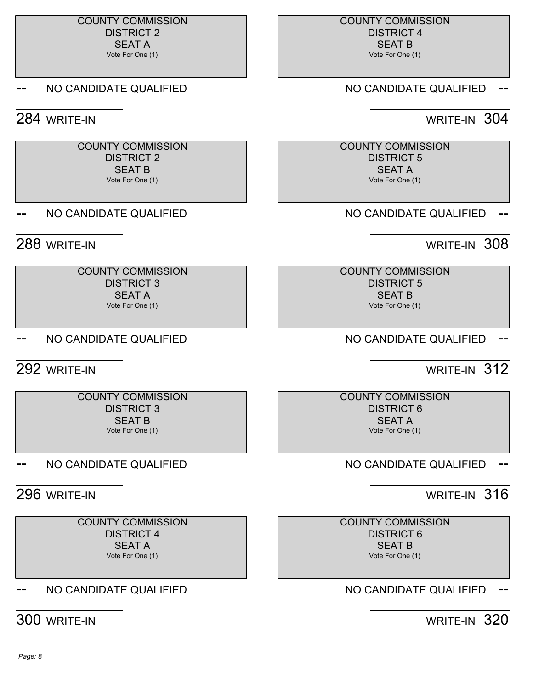#### COUNTY COMMISSION DISTRICT 2 SEAT A

Vote For One (1)

#### NO CANDIDATE QUALIFIED

## 284 WRITE-IN

| <b>COUNTY COMMISSION</b> |  |  |  |
|--------------------------|--|--|--|
| <b>DISTRICT 2</b>        |  |  |  |
| <b>SEAT B</b>            |  |  |  |
| Vote For One (1)         |  |  |  |

#### NO CANDIDATE QUALIFIED

# 288 WRITE-IN

 COUNTY COMMISSION DISTRICT 3 SEAT A Vote For One (1)

## NO CANDIDATE QUALIFIED

# 292 WRITE-IN

 COUNTY COMMISSION DISTRICT 3 SEAT B Vote For One (1)

## NO CANDIDATE QUALIFIED

# 296 WRITE-IN

 COUNTY COMMISSION DISTRICT 4 SEAT A Vote For One (1)

# NO CANDIDATE QUALIFIED

300 WRITE-IN

#### COUNTY COMMISSION DISTRICT 4 SEAT B Vote For One (1)

## NO CANDIDATE QUALIFIED

WRITE-IN 304

 COUNTY COMMISSION DISTRICT 5 SEAT A Vote For One (1)

## NO CANDIDATE QUALIFIED

WRITE-IN 308

 COUNTY COMMISSION DISTRICT 5 SEAT B Vote For One (1)

## NO CANDIDATE QUALIFIED

# WRITE-IN 312

 COUNTY COMMISSION DISTRICT 6 SEAT A Vote For One (1)

## NO CANDIDATE QUALIFIED

# WRITE-IN 316

 COUNTY COMMISSION DISTRICT 6 SEAT B Vote For One (1)

## NO CANDIDATE QUALIFIED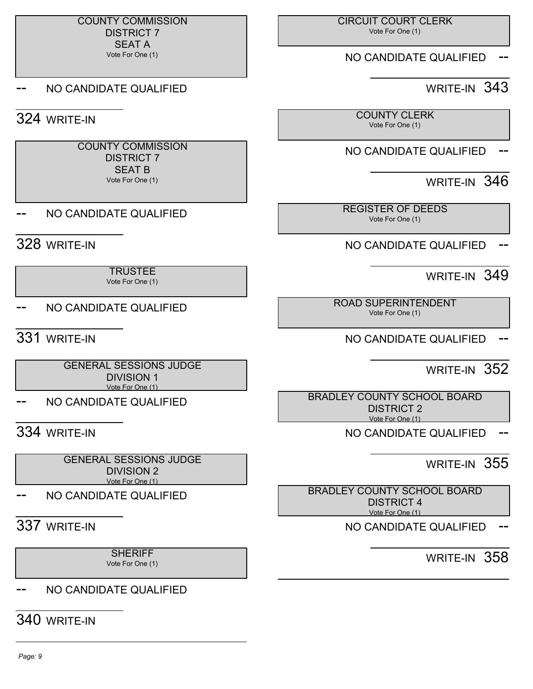#### COUNTY COMMISSION DISTRICT 7 SEAT A

Vote For One (1)

#### NO CANDIDATE QUALIFIED

## 324 WRITE-IN

 COUNTY COMMISSION DISTRICT 7 SEAT B Vote For One (1)

#### NO CANDIDATE QUALIFIED

328 WRITE-IN

**TRUSTEE** Vote For One (1)

NO CANDIDATE QUALIFIED

331 WRITE-IN

 GENERAL SESSIONS JUDGE DIVISION 1 Vote For One (1)

NO CANDIDATE QUALIFIED

334 WRITE-IN

 GENERAL SESSIONS JUDGE DIVISION 2 Vote For One (1)

NO CANDIDATE QUALIFIED

337 WRITE-IN

**SHERIFF** Vote For One (1)

## NO CANDIDATE QUALIFIED

340 WRITE-IN

#### CIRCUIT COURT CLERK Vote For One (1)

NO CANDIDATE QUALIFIED

WRITE-IN 343

 COUNTY CLERK Vote For One (1)

NO CANDIDATE QUALIFIED

# WRITE-IN 346

 REGISTER OF DEEDS Vote For One (1)

NO CANDIDATE QUALIFIED

WRITE-IN 349

 ROAD SUPERINTENDENT Vote For One (1)

NO CANDIDATE QUALIFIED

WRITE-IN 352

 BRADLEY COUNTY SCHOOL BOARD DISTRICT 2 Vote For One (1)

NO CANDIDATE QUALIFIED

WRITE-IN 355

 BRADLEY COUNTY SCHOOL BOARD DISTRICT 4 Vote For One (1)

NO CANDIDATE QUALIFIED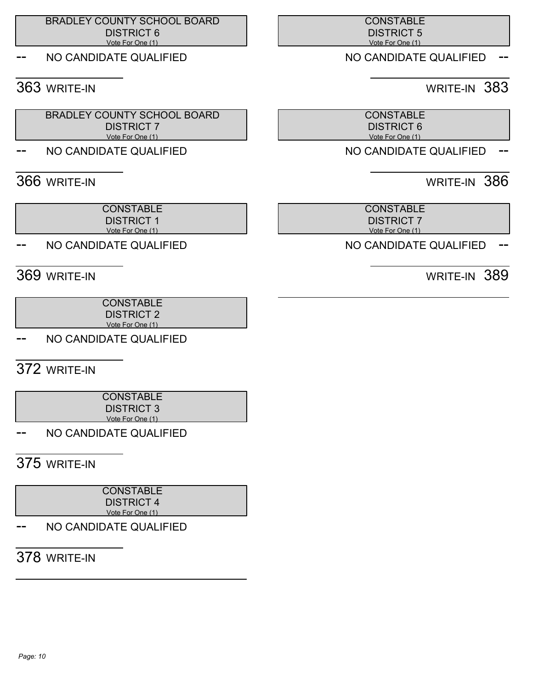BRADLEY COUNTY SCHOOL BOARD DISTRICT 6 Vote For One (1)

NO CANDIDATE QUALIFIED

## 363 WRITE-IN

 BRADLEY COUNTY SCHOOL BOARD DISTRICT 7 Vote For One (1)

NO CANDIDATE QUALIFIED

366 WRITE-IN

**CONSTABLE**  DISTRICT 1 Vote For One (1)

NO CANDIDATE QUALIFIED

## 369 WRITE-IN

**CONSTABLE**  DISTRICT 2 Vote For One (1)

-- NO CANDIDATE QUALIFIED

372 WRITE-IN

**CONSTABLE**  DISTRICT 3 Vote For One (1)

NO CANDIDATE QUALIFIED

375 WRITE-IN

**CONSTABLE**  DISTRICT 4 Vote For One (1)

-- NO CANDIDATE QUALIFIED

378 WRITE-IN

**CONSTABLE**  DISTRICT 5 Vote For One (1)

NO CANDIDATE QUALIFIED

WRITE-IN 383

**CONSTABLE**  DISTRICT 6 Vote For One (1)

NO CANDIDATE QUALIFIED

WRITE-IN 386

**CONSTABLE**  DISTRICT 7 Vote For One (1)

NO CANDIDATE QUALIFIED